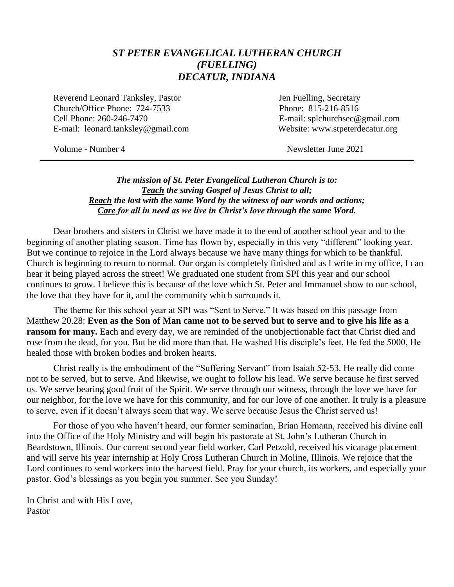#### *ST PETER EVANGELICAL LUTHERAN CHURCH (FUELLING) DECATUR, INDIANA*

Reverend Leonard Tanksley, Pastor **Figure 1.1 Secretary** Jen Fuelling, Secretary Church/Office Phone: 724-7533 Phone: 815-216-8516 Cell Phone: 260-246-7470 E-mail: splchurchsec@gmail.com E-mail: leonard.tanksley@gmail.com Website: www.stpeterdecatur.org

Volume - Number 4 Newsletter June 2021

#### *The mission of St. Peter Evangelical Lutheran Church is to: Teach the saving Gospel of Jesus Christ to all; Reach the lost with the same Word by the witness of our words and actions; Care for all in need as we live in Christ's love through the same Word.*

Dear brothers and sisters in Christ we have made it to the end of another school year and to the beginning of another plating season. Time has flown by, especially in this very "different" looking year. But we continue to rejoice in the Lord always because we have many things for which to be thankful. Church is beginning to return to normal. Our organ is completely finished and as I write in my office, I can hear it being played across the street! We graduated one student from SPI this year and our school continues to grow. I believe this is because of the love which St. Peter and Immanuel show to our school, the love that they have for it, and the community which surrounds it.

The theme for this school year at SPI was "Sent to Serve." It was based on this passage from Matthew 20.28: **Even as the Son of Man came not to be served but to serve and to give his life as a ransom for many.** Each and every day, we are reminded of the unobjectionable fact that Christ died and rose from the dead, for you. But he did more than that. He washed His disciple's feet, He fed the 5000, He healed those with broken bodies and broken hearts.

Christ really is the embodiment of the "Suffering Servant" from Isaiah 52-53. He really did come not to be served, but to serve. And likewise, we ought to follow his lead. We serve because he first served us. We serve bearing good fruit of the Spirit. We serve through our witness, through the love we have for our neighbor, for the love we have for this community, and for our love of one another. It truly is a pleasure to serve, even if it doesn't always seem that way. We serve because Jesus the Christ served us!

For those of you who haven't heard, our former seminarian, Brian Homann, received his divine call into the Office of the Holy Ministry and will begin his pastorate at St. John's Lutheran Church in Beardstown, Illinois. Our current second year field worker, Carl Petzold, received his vicarage placement and will serve his year internship at Holy Cross Lutheran Church in Moline, Illinois. We rejoice that the Lord continues to send workers into the harvest field. Pray for your church, its workers, and especially your pastor. God's blessings as you begin you summer. See you Sunday!

In Christ and with His Love, Pastor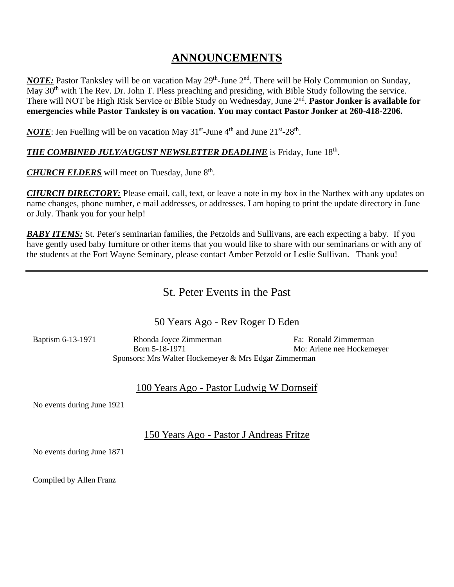# **ANNOUNCEMENTS**

*NOTE*: Pastor Tanksley will be on vacation May 29<sup>th</sup>-June 2<sup>nd</sup>. There will be Holy Communion on Sunday, May 30<sup>th</sup> with The Rev. Dr. John T. Pless preaching and presiding, with Bible Study following the service. There will NOT be High Risk Service or Bible Study on Wednesday, June 2<sup>nd</sup>. Pastor Jonker is available for **emergencies while Pastor Tanksley is on vacation. You may contact Pastor Jonker at 260-418-2206.**

*NOTE*: Jen Fuelling will be on vacation May  $31<sup>st</sup>$ -June  $4<sup>th</sup>$  and June  $21<sup>st</sup>$ - $28<sup>th</sup>$ .

#### *THE COMBINED JULY/AUGUST NEWSLETTER DEADLINE* is Friday, June 18 th .

CHURCH ELDERS will meet on Tuesday, June 8<sup>th</sup>.

*CHURCH DIRECTORY:* Please email, call, text, or leave a note in my box in the Narthex with any updates on name changes, phone number, e mail addresses, or addresses. I am hoping to print the update directory in June or July. Thank you for your help!

*BABY ITEMS:* St. Peter's seminarian families, the Petzolds and Sullivans, are each expecting a baby. If you have gently used baby furniture or other items that you would like to share with our seminarians or with any of the students at the Fort Wayne Seminary, please contact Amber Petzold or Leslie Sullivan. Thank you!

### St. Peter Events in the Past

#### 50 Years Ago - Rev Roger D Eden

 Baptism 6-13-1971 Rhonda Joyce Zimmerman Fa: Ronald Zimmerman Born 5-18-1971 Mo: Arlene nee Hockemeyer Sponsors: Mrs Walter Hockemeyer & Mrs Edgar Zimmerman

#### 100 Years Ago - Pastor Ludwig W Dornseif

No events during June 1921

150 Years Ago - Pastor J Andreas Fritze

No events during June 1871

Compiled by Allen Franz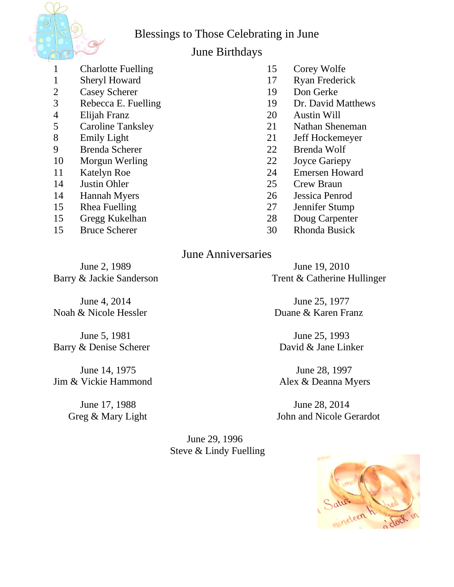Blessings to Those Celebrating in June



## June Birthdays

- 1 Charlotte Fuelling 15 Corey Wolfe
- 
- 2 Casey Scherer 19 Don Gerke
- 
- 
- 
- 
- 9 Brenda Scherer 22 Brenda Wolf
- 10 Morgun Werling 22 Joyce Gariepy
- 
- 14 Justin Ohler 25 Crew Braun
- 14 Hannah Myers 26 Jessica Penrod
- 
- 15 Gregg Kukelhan 28 Doug Carpenter
- 
- 
- 1 Sheryl Howard 17 Ryan Frederick
	-
- 3 Rebecca E. Fuelling 19 Dr. David Matthews
- 4 Elijah Franz 20 Austin Will
- 5 Caroline Tanksley 21 Nathan Sheneman
- 8 Emily Light 21 Jeff Hockemeyer
	-
	-
- 11 Katelyn Roe 24 Emersen Howard
	-
	-
- 15 Rhea Fuelling 27 Jennifer Stump
	-
- 15 Bruce Scherer 30 Rhonda Busick

# June Anniversaries

June 2, 1989 June 19, 2010

Noah & Nicole Hessler Duane & Karen Franz

Barry & Denise Scherer David & Jane Linker

Jim & Vickie Hammond Alex & Deanna Myers

Barry & Jackie Sanderson Trent & Catherine Hullinger

June 4, 2014 June 25, 1977

June 5, 1981 June 25, 1993

June 14, 1975 June 28, 1997

June 17, 1988 June 28, 2014 Greg & Mary Light John and Nicole Gerardot

> June 29, 1996 Steve & Lindy Fuelling

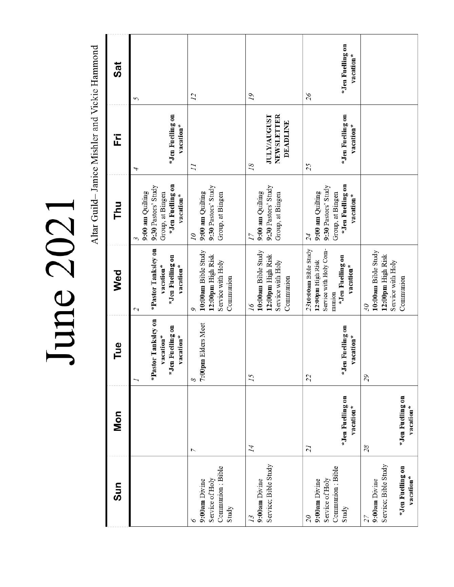June 2021

Altar Guild-Janice Mishler and Vickie Hammond

| Sun                                                                              | <b>Mon</b>                                      | Tue                                                                    | Wed                                                                                                             | Thu                                                                                                | 준                                                         | <b>Sat</b>                          |
|----------------------------------------------------------------------------------|-------------------------------------------------|------------------------------------------------------------------------|-----------------------------------------------------------------------------------------------------------------|----------------------------------------------------------------------------------------------------|-----------------------------------------------------------|-------------------------------------|
|                                                                                  |                                                 | *Pastor Tanksley on<br>*Jen Fuelling on<br>vacation*<br>vacation*<br>7 | *Pastor Tanksley on<br>*Jen Fuelling on<br>vacation*<br>vacation*<br>$\mathcal{L}$                              | *Jen Fuelling on<br>9:30 Pastors' Study<br>9:00 am Quilting<br>Group, at Bingen<br>vacation*<br>3  | *Jen Fuelling on<br>vacation*<br>4                        | 5                                   |
| Communion; Bible<br>Service of Holy<br>9:00am Divine<br>Study                    | $\overline{ }$                                  | 7:00pm Elders Meet<br>8                                                | 10:00am Bible Study<br>12:00pm High Risk<br>Service with Holy<br>Communion<br>Q                                 | 9:30 Pastors' Study<br>9:00 am Quilting<br>Group, at Bingen<br>07                                  | $\overline{11}$                                           | $\overline{12}$                     |
| Service; Bible Study<br>9:00am Divine<br>13                                      | 14                                              | 15                                                                     | 10:00am Bible Study<br>12:00pm High Risk<br>Service with Holy<br>Communion<br>16                                | 9:30 Pastors' Study<br>9:00 am Quilting<br>Group, at Bingen<br>17                                  | <b>JULY/AUGUST</b><br>NEWSLETTER<br><b>DEADLINE</b><br>18 | 19                                  |
| Communion ; Bible<br>Service of Holy<br>9:00am Divine<br>Study<br>$\overline{0}$ | *Jen Fuelling on<br>vacation*<br>$\overline{z}$ | *Jen Fuelling on<br>vacation*<br>22                                    | Service with Holy Com-<br>2310:00am Bible Study<br>*Jen Fuelling on<br>12:00pm High Risk<br>vacation*<br>munion | *Jen Fuelling on<br>9:30 Pastors' Study<br>9:00 am Quilting<br>Group, at Bingen<br>vacation*<br>24 | *Jen Fuelling on<br>vacation*<br>25                       | *Jen Fuelling on<br>vacation*<br>26 |
| Service; Bible Study<br>*Jen Fuelling on<br>vacation*<br>9:00am Divine<br>27     | *Jen Fuelling on<br>vacation*<br>28             | 65                                                                     | 10:00am Bible Study<br>12:00pm High Risk<br>Service with Holy<br>Communion<br>30                                |                                                                                                    |                                                           |                                     |